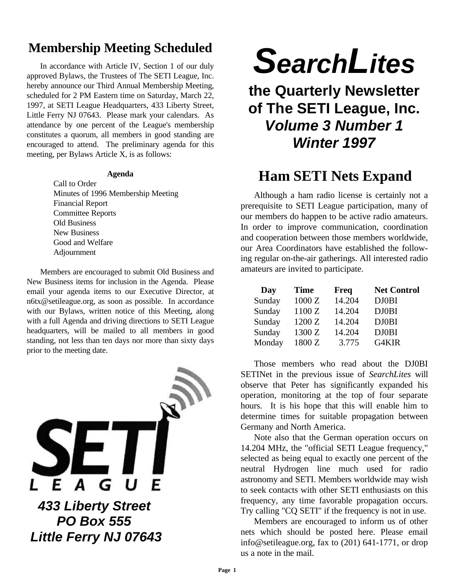## **Membership Meeting Scheduled**

In accordance with Article IV, Section 1 of our duly approved Bylaws, the Trustees of The SETI League, Inc. hereby announce our Third Annual Membership Meeting, scheduled for 2 PM Eastern time on Saturday, March 22, 1997, at SETI League Headquarters, 433 Liberty Street, Little Ferry NJ 07643. Please mark your calendars. As attendance by one percent of the League's membership constitutes a quorum, all members in good standing are encouraged to attend. The preliminary agenda for this meeting, per Bylaws Article X, is as follows:

#### **Agenda**

Call to Order Minutes of 1996 Membership Meeting Financial Report Committee Reports Old Business New Business Good and Welfare Adjournment

Members are encouraged to submit Old Business and New Business items for inclusion in the Agenda. Please email your agenda items to our Executive Director, at n6tx@setileague.org, as soon as possible. In accordance with our Bylaws, written notice of this Meeting, along with a full Agenda and driving directions to SETI League headquarters, will be mailed to all members in good standing, not less than ten days nor more than sixty days prior to the meeting date.



*SearchLites*

**the Quarterly Newsletter of The SETI League, Inc.** *Volume 3 Number 1 Winter 1997*

## **Ham SETI Nets Expand**

Although a ham radio license is certainly not a prerequisite to SETI League participation, many of our members do happen to be active radio amateurs. In order to improve communication, coordination and cooperation between those members worldwide, our Area Coordinators have established the following regular on-the-air gatherings. All interested radio amateurs are invited to participate.

| Day    | <b>Time</b> | <b>Freq</b> | <b>Net Control</b> |
|--------|-------------|-------------|--------------------|
| Sunday | 1000 Z      | 14.204      | <b>DJ0BI</b>       |
| Sunday | 1100 Z      | 14.204      | <b>DJ0BI</b>       |
| Sunday | 1200 Z      | 14.204      | <b>DJ0BI</b>       |
| Sunday | 1300 Z      | 14.204      | <b>DJ0BI</b>       |
| Monday | 1800 Z      | 3.775       | G4KIR              |

Those members who read about the DJ0BI SETINet in the previous issue of *SearchLites* will observe that Peter has significantly expanded his operation, monitoring at the top of four separate hours. It is his hope that this will enable him to determine times for suitable propagation between Germany and North America.

Note also that the German operation occurs on 14.204 MHz, the "official SETI League frequency," selected as being equal to exactly one percent of the neutral Hydrogen line much used for radio astronomy and SETI. Members worldwide may wish to seek contacts with other SETI enthusiasts on this frequency, any time favorable propagation occurs. Try calling "CQ SETI" if the frequency is not in use.

Members are encouraged to inform us of other nets which should be posted here. Please email info@setileague.org, fax to (201) 641-1771, or drop us a note in the mail.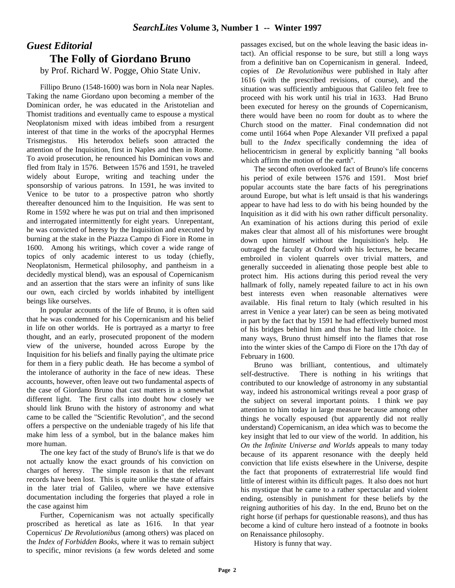### *Guest Editorial* **The Folly of Giordano Bruno**

by Prof. Richard W. Pogge, Ohio State Univ.

Fillipo Bruno (1548-1600) was born in Nola near Naples. Taking the name Giordano upon becoming a member of the Dominican order, he was educated in the Aristotelian and Thomist traditions and eventually came to espouse a mystical Neoplatonism mixed with ideas imbibed from a resurgent interest of that time in the works of the apocryphal Hermes Trismegistus. His heterodox beliefs soon attracted the attention of the Inquisition, first in Naples and then in Rome. To avoid prosecution, he renounced his Dominican vows and fled from Italy in 1576. Between 1576 and 1591, he traveled widely about Europe, writing and teaching under the sponsorship of various patrons. In 1591, he was invited to Venice to be tutor to a prospective patron who shortly thereafter denounced him to the Inquisition. He was sent to Rome in 1592 where he was put on trial and then imprisoned and interrogated intermittently for eight years. Unrepentant, he was convicted of heresy by the Inquisition and executed by burning at the stake in the Piazza Campo di Fiore in Rome in 1600. Among his writings, which cover a wide range of topics of only academic interest to us today (chiefly, Neoplatonism, Hermetical philosophy, and pantheism in a decidedly mystical blend), was an espousal of Copernicanism and an assertion that the stars were an infinity of suns like our own, each circled by worlds inhabited by intelligent beings like ourselves.

In popular accounts of the life of Bruno, it is often said that he was condemned for his Copernicanism and his belief in life on other worlds. He is portrayed as a martyr to free thought, and an early, prosecuted proponent of the modern view of the universe, hounded across Europe by the Inquisition for his beliefs and finally paying the ultimate price for them in a fiery public death. He has become a symbol of the intolerance of authority in the face of new ideas. These accounts, however, often leave out two fundamental aspects of the case of Giordano Bruno that cast matters in a somewhat different light. The first calls into doubt how closely we should link Bruno with the history of astronomy and what came to be called the "Scientific Revolution", and the second offers a perspective on the undeniable tragedy of his life that make him less of a symbol, but in the balance makes him more human.

The one key fact of the study of Bruno's life is that we do not actually know the exact grounds of his conviction on charges of heresy. The simple reason is that the relevant records have been lost. This is quite unlike the state of affairs in the later trial of Galileo, where we have extensive documentation including the forgeries that played a role in the case against him

Further, Copernicanism was not actually specifically proscribed as heretical as late as 1616. In that year Copernicus' *De Revolutionibus* (among others) was placed on the *Index of Forbidden Books*, where it was to remain subject to specific, minor revisions (a few words deleted and some

passages excised, but on the whole leaving the basic ideas intact). An official response to be sure, but still a long ways from a definitive ban on Copernicanism in general. Indeed, copies of *De Revolutionibus* were published in Italy after 1616 (with the prescribed revisions, of course), and the situation was sufficiently ambiguous that Galileo felt free to proceed with his work until his trial in 1633. Had Bruno been executed for heresy on the grounds of Copernicanism, there would have been no room for doubt as to where the Church stood on the matter. Final condemnation did not come until 1664 when Pope Alexander VII prefixed a papal bull to the *Index* specifically condemning the idea of heliocentricism in general by explicitly banning "all books which affirm the motion of the earth''.

The second often overlooked fact of Bruno's life concerns his period of exile between 1576 and 1591. Most brief popular accounts state the bare facts of his peregrinations around Europe, but what is left unsaid is that his wanderings appear to have had less to do with his being hounded by the Inquisition as it did with his own rather difficult personality. An examination of his actions during this period of exile makes clear that almost all of his misfortunes were brought down upon himself without the Inquisition's help. He outraged the faculty at Oxford with his lectures, he became embroiled in violent quarrels over trivial matters, and generally succeeded in alienating those people best able to protect him. His actions during this period reveal the very hallmark of folly, namely repeated failure to act in his own best interests even when reasonable alternatives were available. His final return to Italy (which resulted in his arrest in Venice a year later) can be seen as being motivated in part by the fact that by 1591 he had effectively burned most of his bridges behind him and thus he had little choice. In many ways, Bruno thrust himself into the flames that rose into the winter skies of the Campo di Fiore on the 17th day of February in 1600.

Bruno was brilliant, contentious, and ultimately self-destructive. There is nothing in his writings that contributed to our knowledge of astronomy in any substantial way, indeed his astronomical writings reveal a poor grasp of the subject on several important points. I think we pay attention to him today in large measure because among other things he vocally espoused (but apparently did not really understand) Copernicanism, an idea which was to become the key insight that led to our view of the world. In addition, his *On the Infinite Universe and Worlds* appeals to many today because of its apparent resonance with the deeply held conviction that life exists elsewhere in the Universe, despite the fact that proponents of extraterrestrial life would find little of interest within its difficult pages. It also does not hurt his mystique that he came to a rather spectacular and violent ending, ostensibly in punishment for these beliefs by the reigning authorities of his day. In the end, Bruno bet on the right horse (if perhaps for questionable reasons), and thus has become a kind of culture hero instead of a footnote in books on Renaissance philosophy.

History is funny that way.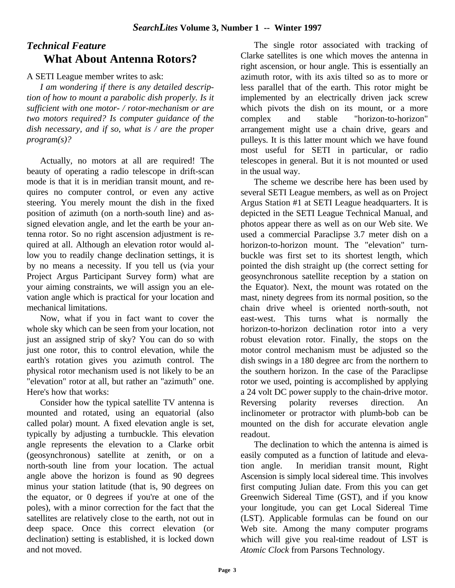### *Technical Feature* **What About Antenna Rotors?**

A SETI League member writes to ask:

*I am wondering if there is any detailed description of how to mount a parabolic dish properly. Is it sufficient with one motor- / rotor-mechanism or are two motors required? Is computer guidance of the dish necessary, and if so, what is / are the proper program(s)?*

Actually, no motors at all are required! The beauty of operating a radio telescope in drift-scan mode is that it is in meridian transit mount, and requires no computer control, or even any active steering. You merely mount the dish in the fixed position of azimuth (on a north-south line) and assigned elevation angle, and let the earth be your antenna rotor. So no right ascension adjustment is required at all. Although an elevation rotor would allow you to readily change declination settings, it is by no means a necessity. If you tell us (via your Project Argus Participant Survey form) what are your aiming constraints, we will assign you an elevation angle which is practical for your location and mechanical limitations.

Now, what if you in fact want to cover the whole sky which can be seen from your location, not just an assigned strip of sky? You can do so with just one rotor, this to control elevation, while the earth's rotation gives you azimuth control. The physical rotor mechanism used is not likely to be an "elevation" rotor at all, but rather an "azimuth" one. Here's how that works:

Consider how the typical satellite TV antenna is mounted and rotated, using an equatorial (also called polar) mount. A fixed elevation angle is set, typically by adjusting a turnbuckle. This elevation angle represents the elevation to a Clarke orbit (geosynchronous) satellite at zenith, or on a north-south line from your location. The actual angle above the horizon is found as 90 degrees minus your station latitude (that is, 90 degrees on the equator, or 0 degrees if you're at one of the poles), with a minor correction for the fact that the satellites are relatively close to the earth, not out in deep space. Once this correct elevation (or declination) setting is established, it is locked down and not moved.

The single rotor associated with tracking of Clarke satellites is one which moves the antenna in right ascension, or hour angle. This is essentially an azimuth rotor, with its axis tilted so as to more or less parallel that of the earth. This rotor might be implemented by an electrically driven jack screw which pivots the dish on its mount, or a more complex and stable "horizon-to-horizon" arrangement might use a chain drive, gears and pulleys. It is this latter mount which we have found most useful for SETI in particular, or radio telescopes in general. But it is not mounted or used in the usual way.

The scheme we describe here has been used by several SETI League members, as well as on Project Argus Station #1 at SETI League headquarters. It is depicted in the SETI League Technical Manual, and photos appear there as well as on our Web site. We used a commercial Paraclipse 3.7 meter dish on a horizon-to-horizon mount. The "elevation" turnbuckle was first set to its shortest length, which pointed the dish straight up (the correct setting for geosynchronous satellite reception by a station on the Equator). Next, the mount was rotated on the mast, ninety degrees from its normal position, so the chain drive wheel is oriented north-south, not east-west. This turns what is normally the horizon-to-horizon declination rotor into a very robust elevation rotor. Finally, the stops on the motor control mechanism must be adjusted so the dish swings in a 180 degree arc from the northern to the southern horizon. In the case of the Paraclipse rotor we used, pointing is accomplished by applying a 24 volt DC power supply to the chain-drive motor. Reversing polarity reverses direction. An inclinometer or protractor with plumb-bob can be mounted on the dish for accurate elevation angle readout.

The declination to which the antenna is aimed is easily computed as a function of latitude and elevation angle. In meridian transit mount, Right Ascension is simply local sidereal time. This involves first computing Julian date. From this you can get Greenwich Sidereal Time (GST), and if you know your longitude, you can get Local Sidereal Time (LST). Applicable formulas can be found on our Web site. Among the many computer programs which will give you real-time readout of LST is *Atomic Clock* from Parsons Technology.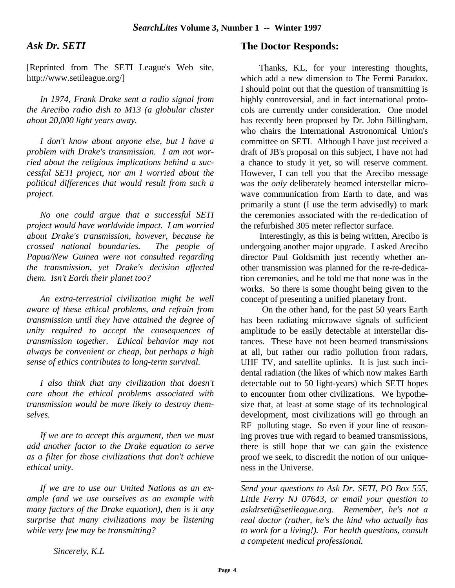#### *Ask Dr. SETI*

[Reprinted from The SETI League's Web site, http://www.setileague.org/]

*In 1974, Frank Drake sent a radio signal from the Arecibo radio dish to M13 (a globular cluster about 20,000 light years away.*

*I don't know about anyone else, but I have a problem with Drake's transmission. I am not worried about the religious implications behind a successful SETI project, nor am I worried about the political differences that would result from such a project.*

*No one could argue that a successful SETI project would have worldwide impact. I am worried about Drake's transmission, however, because he crossed national boundaries. The people of Papua/New Guinea were not consulted regarding the transmission, yet Drake's decision affected them. Isn't Earth their planet too?*

*An extra-terrestrial civilization might be well aware of these ethical problems, and refrain from transmission until they have attained the degree of unity required to accept the consequences of transmission together. Ethical behavior may not always be convenient or cheap, but perhaps a high sense of ethics contributes to long-term survival.*

*I also think that any civilization that doesn't care about the ethical problems associated with transmission would be more likely to destroy themselves.*

*If we are to accept this argument, then we must add another factor to the Drake equation to serve as a filter for those civilizations that don't achieve ethical unity.*

*If we are to use our United Nations as an example (and we use ourselves as an example with many factors of the Drake equation), then is it any surprise that many civilizations may be listening while very few may be transmitting?*

#### **The Doctor Responds:**

 Thanks, KL, for your interesting thoughts, which add a new dimension to The Fermi Paradox. I should point out that the question of transmitting is highly controversial, and in fact international protocols are currently under consideration. One model has recently been proposed by Dr. John Billingham, who chairs the International Astronomical Union's committee on SETI. Although I have just received a draft of JB's proposal on this subject, I have not had a chance to study it yet, so will reserve comment. However, I can tell you that the Arecibo message was the *only* deliberately beamed interstellar microwave communication from Earth to date, and was primarily a stunt (I use the term advisedly) to mark the ceremonies associated with the re-dedication of the refurbished 305 meter reflector surface.

 Interestingly, as this is being written, Arecibo is undergoing another major upgrade. I asked Arecibo director Paul Goldsmith just recently whether another transmission was planned for the re-re-dedication ceremonies, and he told me that none was in the works. So there is some thought being given to the concept of presenting a unified planetary front.

 On the other hand, for the past 50 years Earth has been radiating microwave signals of sufficient amplitude to be easily detectable at interstellar distances. These have not been beamed transmissions at all, but rather our radio pollution from radars, UHF TV, and satellite uplinks. It is just such incidental radiation (the likes of which now makes Earth detectable out to 50 light-years) which SETI hopes to encounter from other civilizations. We hypothesize that, at least at some stage of its technological development, most civilizations will go through an RF polluting stage. So even if your line of reasoning proves true with regard to beamed transmissions, there is still hope that we can gain the existence proof we seek, to discredit the notion of our uniqueness in the Universe.

*Send your questions to Ask Dr. SETI, PO Box 555, Little Ferry NJ 07643, or email your question to askdrseti@setileague.org. Remember, he's not a real doctor (rather, he's the kind who actually has to work for a living!). For health questions, consult a competent medical professional.*

*Sincerely, K.L*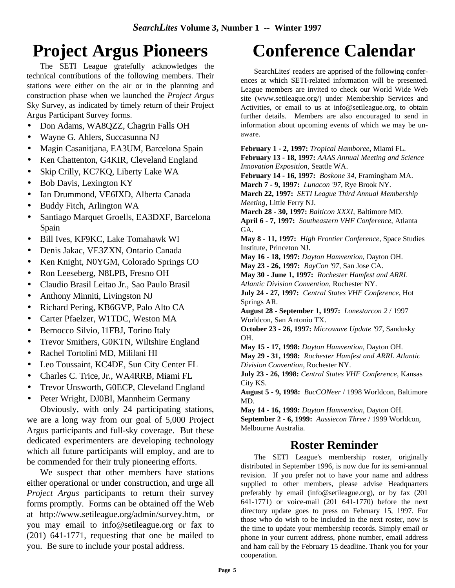# **Project Argus Pioneers**

The SETI League gratefully acknowledges the technical contributions of the following members. Their stations were either on the air or in the planning and construction phase when we launched the *Project Argus* Sky Survey, as indicated by timely return of their Project Argus Participant Survey forms.

- Don Adams, WA8QZZ, Chagrin Falls OH
- Wayne G. Ahlers, Succasunna NJ
- Magin Casanitjana, EA3UM, Barcelona Spain
- Ken Chattenton, G4KIR, Cleveland England
- Skip Crilly, KC7KQ, Liberty Lake WA
- Bob Davis, Lexington KY
- Ian Drummond, VE6IXD, Alberta Canada
- Buddy Fitch, Arlington WA
- Santiago Marquet Groells, EA3DXF, Barcelona Spain
- Bill Ives, KF9KC, Lake Tomahawk WI
- Denis Jakac, VE3ZXN, Ontario Canada
- Ken Knight, N0YGM, Colorado Springs CO
- Ron Leeseberg, N8LPB, Fresno OH
- Claudio Brasil Leitao Jr., Sao Paulo Brasil
- Anthony Minniti, Livingston NJ
- Richard Pering, KB6GVP, Palo Alto CA
- Carter Pfaelzer, W1TDC, Weston MA
- Bernocco Silvio, I1FBJ, Torino Italy
- Trevor Smithers, G0KTN, Wiltshire England
- Rachel Tortolini MD, Mililani HI
- Leo Toussaint, KC4DE, Sun City Center FL
- Charles C. Trice, Jr., WA4RRB, Miami FL
- Trevor Unsworth, G0ECP, Cleveland England
- Peter Wright, DJ0BI, Mannheim Germany

Obviously, with only 24 participating stations, we are a long way from our goal of 5,000 Project Argus participants and full-sky coverage. But these dedicated experimenters are developing technology which all future participants will employ, and are to be commended for their truly pioneering efforts.

We suspect that other members have stations either operational or under construction, and urge all *Project Argus* participants to return their survey forms promptly. Forms can be obtained off the Web at http://www.setileague.org/admin/survey.htm, or you may email to info@setileague.org or fax to (201) 641-1771, requesting that one be mailed to you. Be sure to include your postal address.

# **Conference Calendar**

SearchLites' readers are apprised of the following conferences at which SETI-related information will be presented. League members are invited to check our World Wide Web site (www.setileague.org/) under Membership Services and Activities, or email to us at info@setileague.org, to obtain further details. Members are also encouraged to send in information about upcoming events of which we may be unaware.

**February 1 - 2, 1997:** *Tropical Hamboree***,** Miami FL. **February 13 - 18, 1997:** *AAAS Annual Meeting and Science Innovation Exposition*, Seattle WA. **February 14 - 16, 1997:** *Boskone 34*, Framingham MA. **March 7 - 9, 1997:** *Lunacon '97*, Rye Brook NY. **March 22, 1997:** *SETI League Third Annual Membership Meeting*, Little Ferry NJ. **March 28 - 30, 1997:** *Balticon XXXI*, Baltimore MD. **April 6 - 7, 1997:** *Southeastern VHF Conference,* Atlanta GA. **May 8 - 11, 1997:** *High Frontier Conference,* Space Studies Institute, Princeton NJ. **May 16 - 18, 1997:** *Dayton Hamvention*, Dayton OH. **May 23 - 26, 1997:** *BayCon '97*, San Jose CA. **May 30 - June 1, 1997:** *Rochester Hamfest and ARRL Atlantic Division Convention*, Rochester NY. **July 24 - 27, 1997:** *Central States VHF Conference*, Hot Springs AR. **August 28 - September 1, 1997:** *Lonestarcon 2* / 1997 Worldcon, San Antonio TX. **October 23 - 26, 1997:** *Microwave Update '97*, Sandusky OH. **May 15 - 17, 1998:** *Dayton Hamvention*, Dayton OH. **May 29 - 31, 1998:** *Rochester Hamfest and ARRL Atlantic Division Convention*, Rochester NY. **July 23 - 26, 1998:** *Central States VHF Conference*, Kansas City KS. **August 5 - 9, 1998:** *BucCONeer* / 1998 Worldcon, Baltimore MD. **May 14 - 16, 1999:** *Dayton Hamvention*, Dayton OH.

**September 2 - 6, 1999:** *Aussiecon Three* / 1999 Worldcon, Melbourne Australia.

### **Roster Reminder**

The SETI League's membership roster, originally distributed in September 1996, is now due for its semi-annual revision. If you prefer not to have your name and address supplied to other members, please advise Headquarters preferably by email (info@setileague.org), or by fax (201 641-1771) or voice-mail (201 641-1770) before the next directory update goes to press on February 15, 1997. For those who do wish to be included in the next roster, now is the time to update your membership records. Simply email or phone in your current address, phone number, email address and ham call by the February 15 deadline. Thank you for your cooperation.